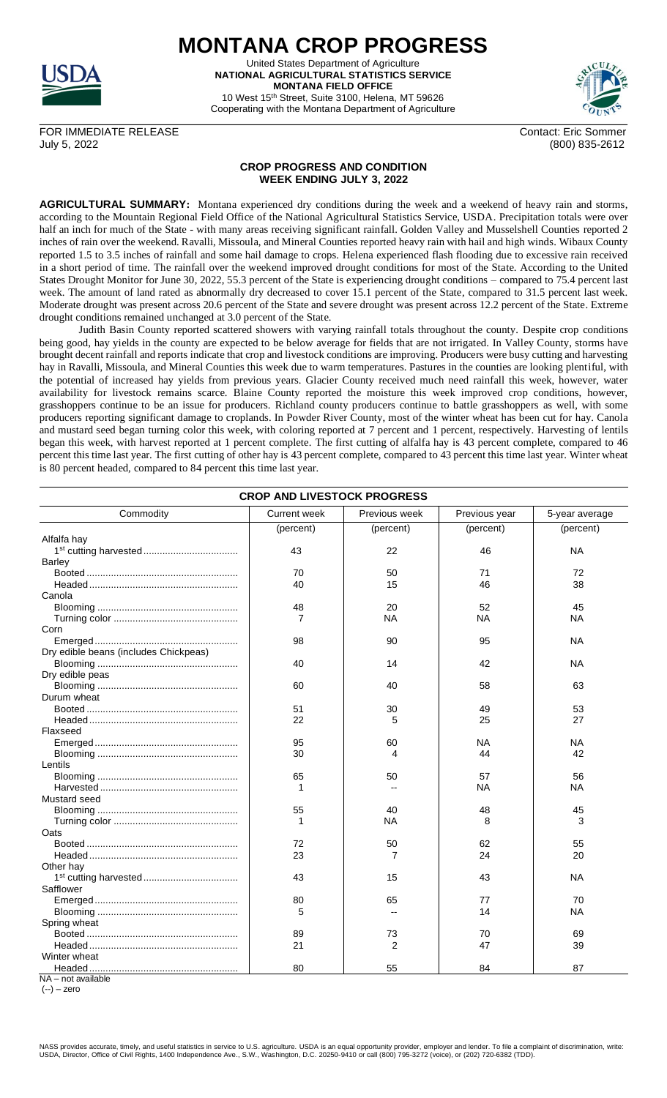

**MONTANA CROP PROGRESS** United States Department of Agriculture **NATIONAL AGRICULTURAL STATISTICS SERVICE MONTANA FIELD OFFICE** 10 West 15th Street, Suite 3100, Helena, MT 59626

Cooperating with the Montana Department of Agriculture



FOR IMMEDIATE RELEASE Contact: Eric Sommer July 5, 2022 (800) 835-2612

## **CROP PROGRESS AND CONDITION WEEK ENDING JULY 3, 2022**

**AGRICULTURAL SUMMARY:** Montana experienced dry conditions during the week and a weekend of heavy rain and storms, according to the Mountain Regional Field Office of the National Agricultural Statistics Service, USDA. Precipitation totals were over half an inch for much of the State - with many areas receiving significant rainfall. Golden Valley and Musselshell Counties reported 2 inches of rain over the weekend. Ravalli, Missoula, and Mineral Counties reported heavy rain with hail and high winds. Wibaux County reported 1.5 to 3.5 inches of rainfall and some hail damage to crops. Helena experienced flash flooding due to excessive rain received in a short period of time. The rainfall over the weekend improved drought conditions for most of the State. According to the United States Drought Monitor for June 30, 2022, 55.3 percent of the State is experiencing drought conditions – compared to 75.4 percent last week. The amount of land rated as abnormally dry decreased to cover 15.1 percent of the State, compared to 31.5 percent last week. Moderate drought was present across 20.6 percent of the State and severe drought was present across 12.2 percent of the State. Extreme drought conditions remained unchanged at 3.0 percent of the State.

Judith Basin County reported scattered showers with varying rainfall totals throughout the county. Despite crop conditions being good, hay yields in the county are expected to be below average for fields that are not irrigated. In Valley County, storms have brought decent rainfall and reports indicate that crop and livestock conditions are improving. Producers were busy cutting and harvesting hay in Ravalli, Missoula, and Mineral Counties this week due to warm temperatures. Pastures in the counties are looking plentiful, with the potential of increased hay yields from previous years. Glacier County received much need rainfall this week, however, water availability for livestock remains scarce. Blaine County reported the moisture this week improved crop conditions, however, grasshoppers continue to be an issue for producers. Richland county producers continue to battle grasshoppers as well, with some producers reporting significant damage to croplands. In Powder River County, most of the winter wheat has been cut for hay. Canola and mustard seed began turning color this week, with coloring reported at 7 percent and 1 percent, respectively. Harvesting of lentils began this week, with harvest reported at 1 percent complete. The first cutting of alfalfa hay is 43 percent complete, compared to 46 percent this time last year. The first cutting of other hay is 43 percent complete, compared to 43 percent this time last year. Winter wheat is 80 percent headed, compared to 84 percent this time last year.

| <b>CROP AND LIVESTOCK PROGRESS</b>    |                     |               |               |                |  |  |
|---------------------------------------|---------------------|---------------|---------------|----------------|--|--|
| Commodity                             | <b>Current week</b> | Previous week | Previous year | 5-year average |  |  |
|                                       | (percent)           | (percent)     | (percent)     | (percent)      |  |  |
| Alfalfa hay                           |                     |               |               |                |  |  |
|                                       | 43                  | 22            | 46            | <b>NA</b>      |  |  |
| Barley                                |                     |               |               |                |  |  |
|                                       | 70                  | 50            | 71            | 72             |  |  |
|                                       | 40                  | 15            | 46            | 38             |  |  |
| Canola                                |                     |               |               |                |  |  |
|                                       | 48                  | 20            | 52            | 45             |  |  |
|                                       | 7                   | ΝA            | NA            | ΝA             |  |  |
| Corn                                  |                     |               |               |                |  |  |
|                                       | 98                  | 90            | 95            | ΝA             |  |  |
| Dry edible beans (includes Chickpeas) |                     |               |               |                |  |  |
|                                       | 40                  | 14            | 42            | NA             |  |  |
| Dry edible peas                       |                     |               |               |                |  |  |
|                                       | 60                  | 40            | 58            | 63             |  |  |
| Durum wheat                           |                     |               |               |                |  |  |
|                                       | 51                  | 30            | 49            | 53             |  |  |
|                                       | 22                  | 5             | 25            | 27             |  |  |
| Flaxseed                              |                     |               |               |                |  |  |
|                                       | 95                  | 60            | NA            | <b>NA</b>      |  |  |
|                                       | 30                  | 4             | 44            | 42             |  |  |
| Lentils                               |                     |               |               |                |  |  |
|                                       | 65                  | 50            | 57            | 56             |  |  |
|                                       | 1                   |               | NА            | ΝA             |  |  |
| Mustard seed                          |                     |               |               |                |  |  |
|                                       | 55                  | 40            | 48            | 45             |  |  |
|                                       | 1                   | ΝA            | 8             | 3              |  |  |
| Oats                                  |                     |               |               |                |  |  |
|                                       | 72                  | 50            | 62            | 55             |  |  |
|                                       | 23                  | 7             | 24            | 20             |  |  |
| Other hay                             |                     |               |               |                |  |  |
|                                       | 43                  | 15            | 43            | ΝA             |  |  |
| Safflower                             |                     |               |               |                |  |  |
|                                       | 80                  | 65            | 77            | 70             |  |  |
|                                       | 5                   |               | 14            | ΝA             |  |  |
| Spring wheat                          |                     |               |               |                |  |  |
|                                       | 89                  | 73            | 70            | 69             |  |  |
|                                       | 21                  | 2             | 47            | 39             |  |  |
| Winter wheat                          |                     |               |               |                |  |  |
|                                       | 80                  | 55            | 84            | 87             |  |  |
| NA - not available                    |                     |               |               |                |  |  |

(--) – zero